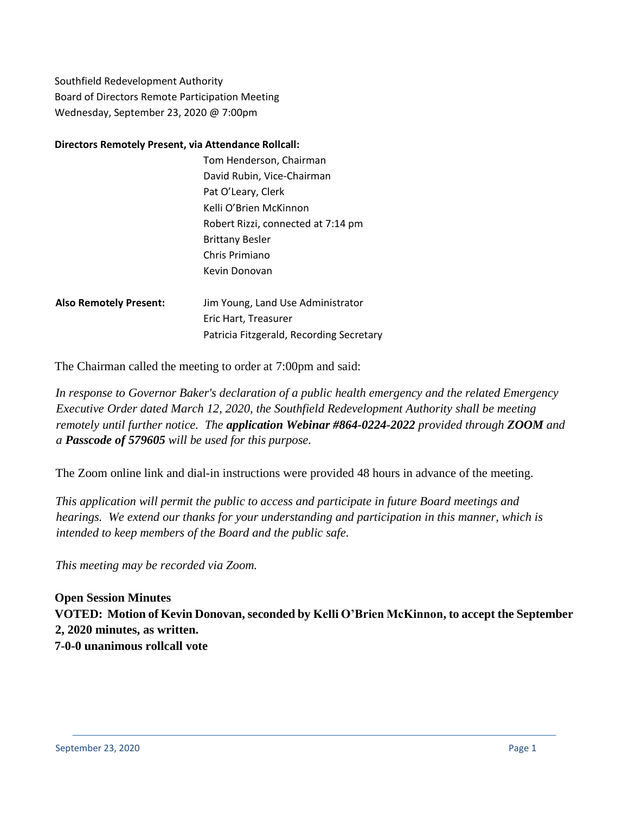Southfield Redevelopment Authority Board of Directors Remote Participation Meeting Wednesday, September 23, 2020 @ 7:00pm

#### **Directors Remotely Present, via Attendance Rollcall:**

|                               | Tom Henderson, Chairman            |
|-------------------------------|------------------------------------|
|                               | David Rubin, Vice-Chairman         |
|                               | Pat O'Leary, Clerk                 |
|                               | Kelli O'Brien McKinnon             |
|                               | Robert Rizzi, connected at 7:14 pm |
|                               | <b>Brittany Besler</b>             |
|                               | Chris Primiano                     |
|                               | Kevin Donovan                      |
| <b>Also Remotely Present:</b> | Jim Young, Land Use Administrator  |
|                               | Eric Hart, Treasurer               |

The Chairman called the meeting to order at 7:00pm and said:

*In response to Governor Baker's declaration of a public health emergency and the related Emergency Executive Order dated March 12, 2020, the Southfield Redevelopment Authority shall be meeting remotely until further notice. The application Webinar #864-0224-2022 provided through ZOOM and a Passcode of 579605 will be used for this purpose.*

The Zoom online link and dial-in instructions were provided 48 hours in advance of the meeting.

Patricia Fitzgerald, Recording Secretary

*This application will permit the public to access and participate in future Board meetings and hearings. We extend our thanks for your understanding and participation in this manner, which is intended to keep members of the Board and the public safe.*

*This meeting may be recorded via Zoom.*

**Open Session Minutes VOTED: Motion of Kevin Donovan, seconded by Kelli O'Brien McKinnon, to accept the September 2, 2020 minutes, as written. 7-0-0 unanimous rollcall vote**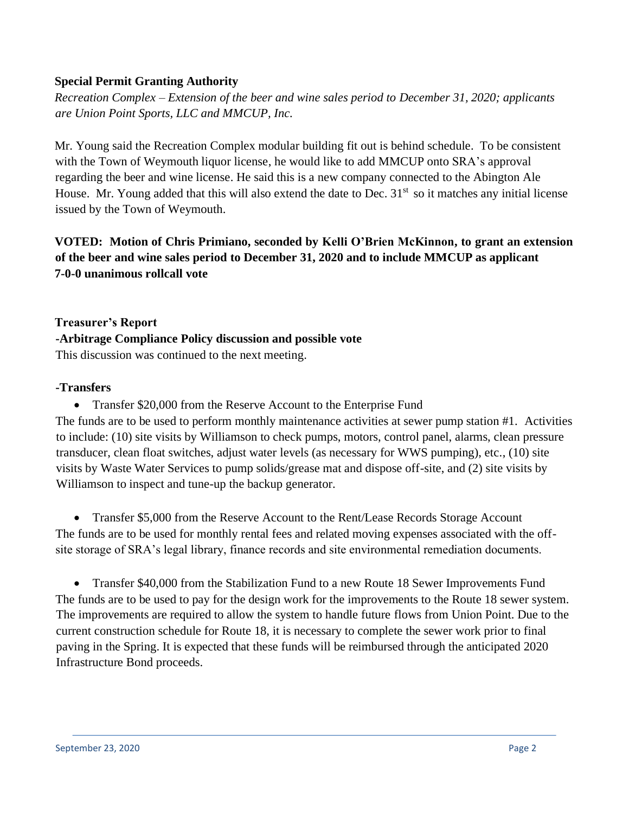### **Special Permit Granting Authority**

*Recreation Complex – Extension of the beer and wine sales period to December 31, 2020; applicants are Union Point Sports, LLC and MMCUP, Inc.* 

Mr. Young said the Recreation Complex modular building fit out is behind schedule. To be consistent with the Town of Weymouth liquor license, he would like to add MMCUP onto SRA's approval regarding the beer and wine license. He said this is a new company connected to the Abington Ale House. Mr. Young added that this will also extend the date to Dec.  $31<sup>st</sup>$  so it matches any initial license issued by the Town of Weymouth.

## **VOTED: Motion of Chris Primiano, seconded by Kelli O'Brien McKinnon, to grant an extension of the beer and wine sales period to December 31, 2020 and to include MMCUP as applicant 7-0-0 unanimous rollcall vote**

**Treasurer's Report -Arbitrage Compliance Policy discussion and possible vote** This discussion was continued to the next meeting.

#### **-Transfers**

• Transfer \$20,000 from the Reserve Account to the Enterprise Fund The funds are to be used to perform monthly maintenance activities at sewer pump station #1. Activities to include: (10) site visits by Williamson to check pumps, motors, control panel, alarms, clean pressure transducer, clean float switches, adjust water levels (as necessary for WWS pumping), etc., (10) site visits by Waste Water Services to pump solids/grease mat and dispose off-site, and (2) site visits by Williamson to inspect and tune-up the backup generator.

• Transfer \$5,000 from the Reserve Account to the Rent/Lease Records Storage Account The funds are to be used for monthly rental fees and related moving expenses associated with the offsite storage of SRA's legal library, finance records and site environmental remediation documents.

• Transfer \$40,000 from the Stabilization Fund to a new Route 18 Sewer Improvements Fund The funds are to be used to pay for the design work for the improvements to the Route 18 sewer system. The improvements are required to allow the system to handle future flows from Union Point. Due to the current construction schedule for Route 18, it is necessary to complete the sewer work prior to final paving in the Spring. It is expected that these funds will be reimbursed through the anticipated 2020 Infrastructure Bond proceeds.